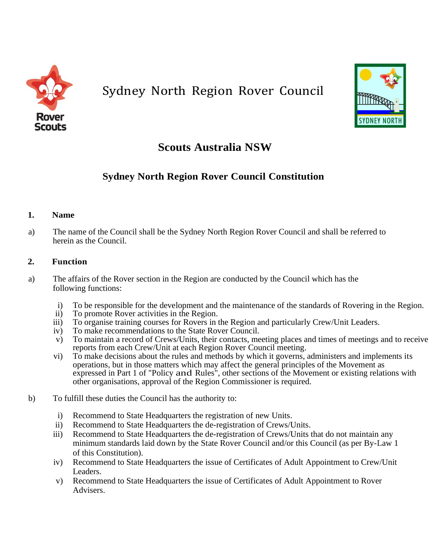

# Sydney North Region Rover Council



## **Scouts Australia NSW**

## **Sydney North Region Rover Council Constitution**

## **1. Name**

a) The name of the Council shall be the Sydney North Region Rover Council and shall be referred to herein as the Council.

## **2. Function**

- a) The affairs of the Rover section in the Region are conducted by the Council which has the following functions:
	- i) To be responsible for the development and the maintenance of the standards of Rovering in the Region.
	- ii) To promote Rover activities in the Region.
	- iii) To organise training courses for Rovers in the Region and particularly Crew/Unit Leaders.
	- iv) To make recommendations to the State Rover Council.
	- v) To maintain a record of Crews/Units, their contacts, meeting places and times of meetings and to receive reports from each Crew/Unit at each Region Rover Council meeting.
	- vi) To make decisions about the rules and methods by which it governs, administers and implements its operations, but in those matters which may affect the general principles of the Movement as expressed in Part 1 of "Policy and Rules", other sections of the Movement or existing relations with other organisations, approval of the Region Commissioner is required.
- b) To fulfill these duties the Council has the authority to:
	- i) Recommend to State Headquarters the registration of new Units.
	- ii) Recommend to State Headquarters the de-registration of Crews/Units.
	- iii) Recommend to State Headquarters the de-registration of Crews/Units that do not maintain any minimum standards laid down by the State Rover Council and/or this Council (as per By-Law 1 of this Constitution).
	- iv) Recommend to State Headquarters the issue of Certificates of Adult Appointment to Crew/Unit Leaders.
	- v) Recommend to State Headquarters the issue of Certificates of Adult Appointment to Rover Advisers.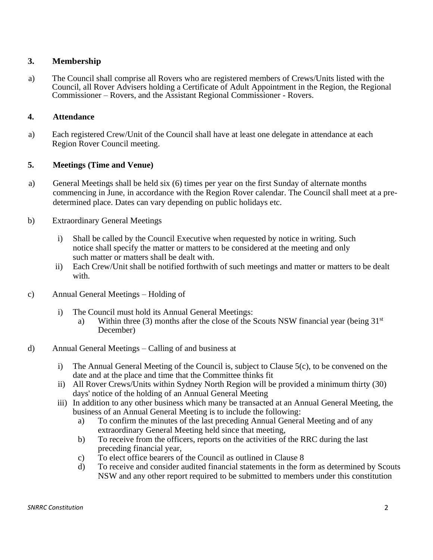## **3. Membership**

a) The Council shall comprise all Rovers who are registered members of Crews/Units listed with the Council, all Rover Advisers holding a Certificate of Adult Appointment in the Region, the Regional Commissioner – Rovers, and the Assistant Regional Commissioner - Rovers.

#### **4. Attendance**

a) Each registered Crew/Unit of the Council shall have at least one delegate in attendance at each Region Rover Council meeting.

## **5. Meetings (Time and Venue)**

- a) General Meetings shall be held six (6) times per year on the first Sunday of alternate months commencing in June, in accordance with the Region Rover calendar. The Council shall meet at a predetermined place. Dates can vary depending on public holidays etc.
- b) Extraordinary General Meetings
	- i) Shall be called by the Council Executive when requested by notice in writing. Such notice shall specify the matter or matters to be considered at the meeting and only such matter or matters shall be dealt with.
	- ii) Each Crew/Unit shall be notified forthwith of such meetings and matter or matters to be dealt with.
- c) Annual General Meetings Holding of
	- i) The Council must hold its Annual General Meetings:
		- a) Within three (3) months after the close of the Scouts NSW financial year (being  $31<sup>st</sup>$ December)
- d) Annual General Meetings Calling of and business at
	- i) The Annual General Meeting of the Council is, subject to Clause 5(c), to be convened on the date and at the place and time that the Committee thinks fit
	- ii) All Rover Crews/Units within Sydney North Region will be provided a minimum thirty (30) days' notice of the holding of an Annual General Meeting
	- iii) In addition to any other business which many be transacted at an Annual General Meeting, the business of an Annual General Meeting is to include the following:
		- a) To confirm the minutes of the last preceding Annual General Meeting and of any extraordinary General Meeting held since that meeting,
		- b) To receive from the officers, reports on the activities of the RRC during the last preceding financial year,
		- c) To elect office bearers of the Council as outlined in Clause 8
		- d) To receive and consider audited financial statements in the form as determined by Scouts NSW and any other report required to be submitted to members under this constitution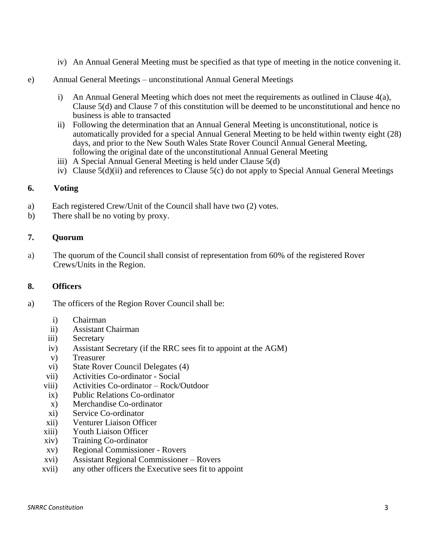- iv) An Annual General Meeting must be specified as that type of meeting in the notice convening it.
- e) Annual General Meetings unconstitutional Annual General Meetings
	- i) An Annual General Meeting which does not meet the requirements as outlined in Clause 4(a), Clause 5(d) and Clause 7 of this constitution will be deemed to be unconstitutional and hence no business is able to transacted
	- ii) Following the determination that an Annual General Meeting is unconstitutional, notice is automatically provided for a special Annual General Meeting to be held within twenty eight (28) days, and prior to the New South Wales State Rover Council Annual General Meeting, following the original date of the unconstitutional Annual General Meeting
	- iii) A Special Annual General Meeting is held under Clause 5(d)
	- iv) Clause 5(d)(ii) and references to Clause 5(c) do not apply to Special Annual General Meetings

## **6. Voting**

- a) Each registered Crew/Unit of the Council shall have two (2) votes.
- b) There shall be no voting by proxy.

## **7. Quorum**

a) The quorum of the Council shall consist of representation from 60% of the registered Rover Crews/Units in the Region.

#### **8. Officers**

- a) The officers of the Region Rover Council shall be:
	- i) Chairman
	- ii) Assistant Chairman
	- iii) Secretary
	- iv) Assistant Secretary (if the RRC sees fit to appoint at the AGM)
	- v) Treasurer
	- vi) State Rover Council Delegates (4)
	- vii) Activities Co-ordinator Social
	- viii) Activities Co-ordinator Rock/Outdoor
	- ix) Public Relations Co-ordinator
	- x) Merchandise Co-ordinator
	- xi) Service Co-ordinator
	- xii) Venturer Liaison Officer
	- xiii) Youth Liaison Officer
	- xiv) Training Co-ordinator
	- xv) Regional Commissioner Rovers
	- xvi) Assistant Regional Commissioner Rovers
	- xvii) any other officers the Executive sees fit to appoint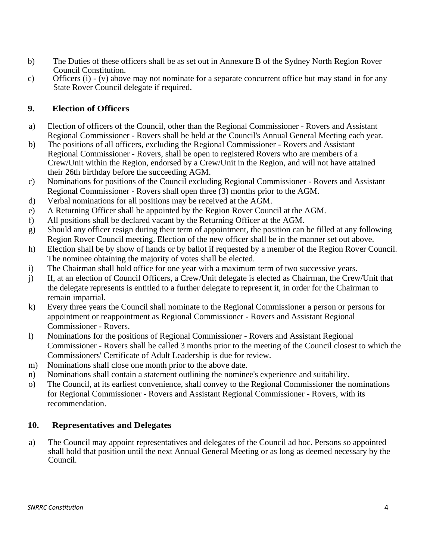- b) The Duties of these officers shall be as set out in Annexure B of the Sydney North Region Rover Council Constitution.
- c) Officers  $(i) (v)$  above may not nominate for a separate concurrent office but may stand in for any State Rover Council delegate if required.

## **9. Election of Officers**

- a) Election of officers of the Council, other than the Regional Commissioner Rovers and Assistant Regional Commissioner - Rovers shall be held at the Council's Annual General Meeting each year.
- b) The positions of all officers, excluding the Regional Commissioner Rovers and Assistant Regional Commissioner - Rovers, shall be open to registered Rovers who are members of a Crew/Unit within the Region, endorsed by a Crew/Unit in the Region, and will not have attained their 26th birthday before the succeeding AGM.
- c) Nominations for positions of the Council excluding Regional Commissioner Rovers and Assistant Regional Commissioner - Rovers shall open three (3) months prior to the AGM.
- d) Verbal nominations for all positions may be received at the AGM.
- e) A Returning Officer shall be appointed by the Region Rover Council at the AGM.
- f) All positions shall be declared vacant by the Returning Officer at the AGM.
- g) Should any officer resign during their term of appointment, the position can be filled at any following Region Rover Council meeting. Election of the new officer shall be in the manner set out above.
- h) Election shall be by show of hands or by ballot if requested by a member of the Region Rover Council. The nominee obtaining the majority of votes shall be elected.
- i) The Chairman shall hold office for one year with a maximum term of two successive years.
- j) If, at an election of Council Officers, a Crew/Unit delegate is elected as Chairman, the Crew/Unit that the delegate represents is entitled to a further delegate to represent it, in order for the Chairman to remain impartial.
- k) Every three years the Council shall nominate to the Regional Commissioner a person or persons for appointment or reappointment as Regional Commissioner - Rovers and Assistant Regional Commissioner - Rovers.
- l) Nominations for the positions of Regional Commissioner Rovers and Assistant Regional Commissioner - Rovers shall be called 3 months prior to the meeting of the Council closest to which the Commissioners' Certificate of Adult Leadership is due for review.
- m) Nominations shall close one month prior to the above date.
- n) Nominations shall contain a statement outlining the nominee's experience and suitability.
- o) The Council, at its earliest convenience, shall convey to the Regional Commissioner the nominations for Regional Commissioner - Rovers and Assistant Regional Commissioner - Rovers, with its recommendation.

## **10. Representatives and Delegates**

a) The Council may appoint representatives and delegates of the Council ad hoc. Persons so appointed shall hold that position until the next Annual General Meeting or as long as deemed necessary by the Council.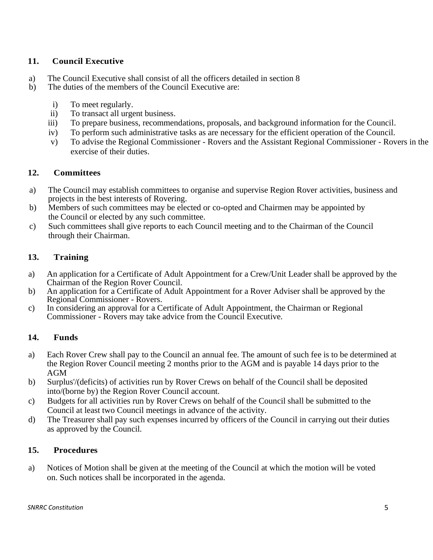## **11. Council Executive**

- a) The Council Executive shall consist of all the officers detailed in section 8
- b) The duties of the members of the Council Executive are:
	- i) To meet regularly.
	- ii) To transact all urgent business.
	- iii) To prepare business, recommendations, proposals, and background information for the Council.
	- iv) To perform such administrative tasks as are necessary for the efficient operation of the Council.
	- v) To advise the Regional Commissioner Rovers and the Assistant Regional Commissioner Rovers in the exercise of their duties.

## **12. Committees**

- a) The Council may establish committees to organise and supervise Region Rover activities, business and projects in the best interests of Rovering.
- b) Members of such committees may be elected or co-opted and Chairmen may be appointed by the Council or elected by any such committee.
- c) Such committees shall give reports to each Council meeting and to the Chairman of the Council through their Chairman.

## **13. Training**

- a) An application for a Certificate of Adult Appointment for a Crew/Unit Leader shall be approved by the Chairman of the Region Rover Council.
- b) An application for a Certificate of Adult Appointment for a Rover Adviser shall be approved by the Regional Commissioner - Rovers.
- c) In considering an approval for a Certificate of Adult Appointment, the Chairman or Regional Commissioner - Rovers may take advice from the Council Executive.

## **14. Funds**

- a) Each Rover Crew shall pay to the Council an annual fee. The amount of such fee is to be determined at the Region Rover Council meeting 2 months prior to the AGM and is payable 14 days prior to the AGM
- b) Surplus'/(deficits) of activities run by Rover Crews on behalf of the Council shall be deposited into/(borne by) the Region Rover Council account.
- c) Budgets for all activities run by Rover Crews on behalf of the Council shall be submitted to the Council at least two Council meetings in advance of the activity.
- d) The Treasurer shall pay such expenses incurred by officers of the Council in carrying out their duties as approved by the Council.

## **15. Procedures**

a) Notices of Motion shall be given at the meeting of the Council at which the motion will be voted on. Such notices shall be incorporated in the agenda.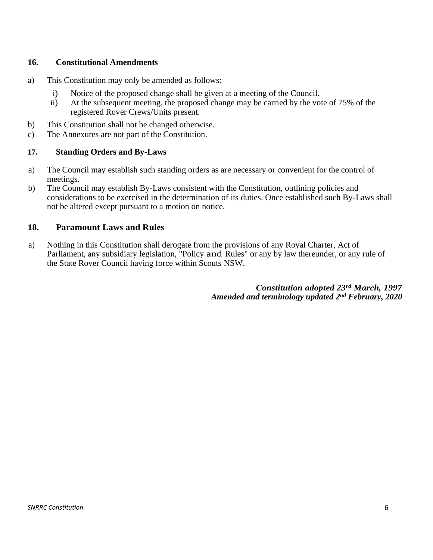## **16. Constitutional Amendments**

- a) This Constitution may only be amended as follows:
	- i) Notice of the proposed change shall be given at a meeting of the Council.
	- ii) At the subsequent meeting, the proposed change may be carried by the vote of 75% of the registered Rover Crews/Units present.
- b) This Constitution shall not be changed otherwise.
- c) The Annexures are not part of the Constitution.

## **17. Standing Orders and By-Laws**

- a) The Council may establish such standing orders as are necessary or convenient for the control of meetings.
- b) The Council may establish By-Laws consistent with the Constitution, outlining policies and considerations to be exercised in the determination of its duties. Once established such By-Laws shall not be altered except pursuant to a motion on notice.

## **18. Paramount Laws and Rules**

a) Nothing in this Constitution shall derogate from the provisions of any Royal Charter, Act of Parliament, any subsidiary legislation, "Policy and Rules" or any by law thereunder, or any rule of the State Rover Council having force within Scouts NSW.

> *Constitution adopted 23rd March, 1997 Amended and terminology updated 2 nd February, 2020*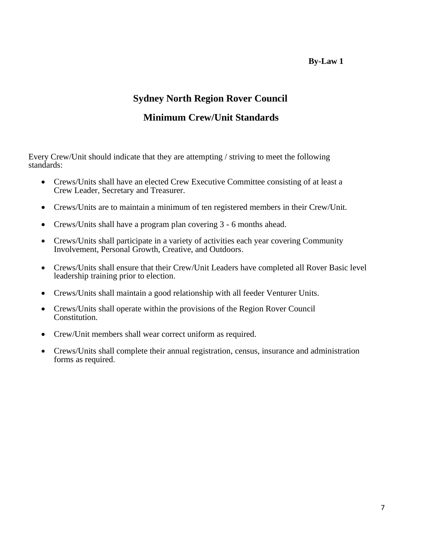**By-Law 1** 

## **Sydney North Region Rover Council**

## **Minimum Crew/Unit Standards**

Every Crew/Unit should indicate that they are attempting / striving to meet the following standards:

- Crews/Units shall have an elected Crew Executive Committee consisting of at least a Crew Leader, Secretary and Treasurer.
- Crews/Units are to maintain a minimum of ten registered members in their Crew/Unit.
- Crews/Units shall have a program plan covering 3 6 months ahead.
- Crews/Units shall participate in a variety of activities each year covering Community Involvement, Personal Growth, Creative, and Outdoors.
- Crews/Units shall ensure that their Crew/Unit Leaders have completed all Rover Basic level leadership training prior to election.
- Crews/Units shall maintain a good relationship with all feeder Venturer Units.
- Crews/Units shall operate within the provisions of the Region Rover Council Constitution.
- Crew/Unit members shall wear correct uniform as required.
- Crews/Units shall complete their annual registration, census, insurance and administration forms as required.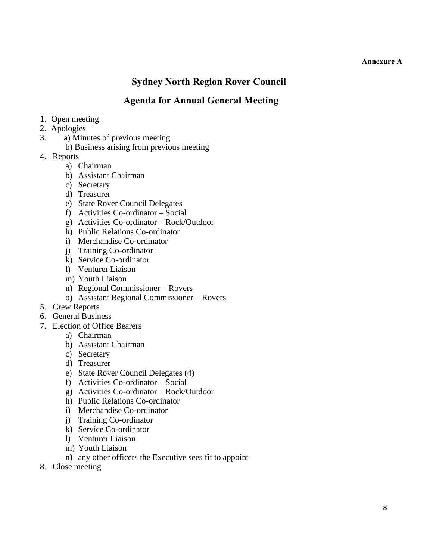#### **Annexure A**

## **Sydney North Region Rover Council**

## **Agenda for Annual General Meeting**

- 1. Open meeting
- 2. Apologies
- 3. a) Minutes of previous meeting
	- b) Business arising from previous meeting
- 4. Reports
	- a) Chairman
	- b) Assistant Chairman
	- c) Secretary
	- d) Treasurer
	- e) State Rover Council Delegates
	- f) Activities Co-ordinator Social
	- g) Activities Co-ordinator Rock/Outdoor
	- h) Public Relations Co-ordinator
	- i) Merchandise Co-ordinator
	- j) Training Co-ordinator
	- k) Service Co-ordinator
	- l) Venturer Liaison
	- m) Youth Liaison
	- n) Regional Commissioner Rovers
	- o) Assistant Regional Commissioner Rovers
- 5. Crew Reports
- 6. General Business
- 7. Election of Office Bearers
	- a) Chairman
	- b) Assistant Chairman
	- c) Secretary
	- d) Treasurer
	- e) State Rover Council Delegates (4)
	- f) Activities Co-ordinator Social
	- g) Activities Co-ordinator Rock/Outdoor
	- h) Public Relations Co-ordinator
	- i) Merchandise Co-ordinator
	- j) Training Co-ordinator
	- k) Service Co-ordinator
	- l) Venturer Liaison
	- m) Youth Liaison
	- n) any other officers the Executive sees fit to appoint
- 8. Close meeting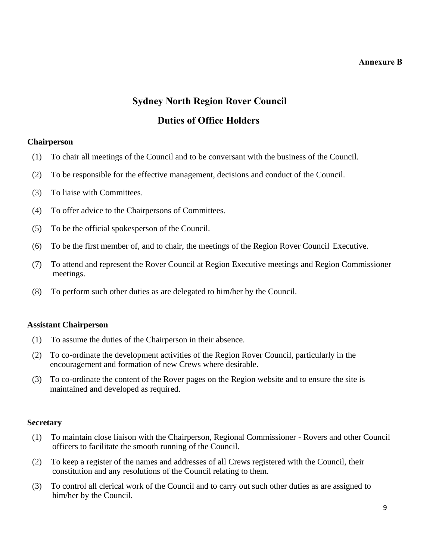#### **Annexure B**

# **Sydney North Region Rover Council Duties of Office Holders**

#### **Chairperson**

- (1) To chair all meetings of the Council and to be conversant with the business of the Council.
- (2) To be responsible for the effective management, decisions and conduct of the Council.
- (3) To liaise with Committees.
- (4) To offer advice to the Chairpersons of Committees.
- (5) To be the official spokesperson of the Council.
- (6) To be the first member of, and to chair, the meetings of the Region Rover Council Executive.
- (7) To attend and represent the Rover Council at Region Executive meetings and Region Commissioner meetings.
- (8) To perform such other duties as are delegated to him/her by the Council.

#### **Assistant Chairperson**

- (1) To assume the duties of the Chairperson in their absence.
- (2) To co-ordinate the development activities of the Region Rover Council, particularly in the encouragement and formation of new Crews where desirable.
- (3) To co-ordinate the content of the Rover pages on the Region website and to ensure the site is maintained and developed as required.

#### **Secretary**

- (1) To maintain close liaison with the Chairperson, Regional Commissioner Rovers and other Council officers to facilitate the smooth running of the Council.
- (2) To keep a register of the names and addresses of all Crews registered with the Council, their constitution and any resolutions of the Council relating to them.
- (3) To control all clerical work of the Council and to carry out such other duties as are assigned to him/her by the Council.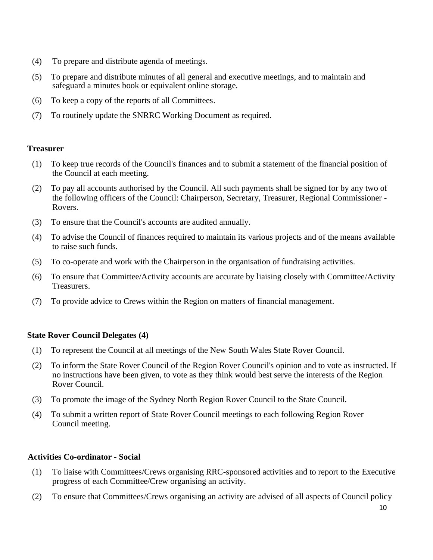- (4) To prepare and distribute agenda of meetings.
- (5) To prepare and distribute minutes of all general and executive meetings, and to maintain and safeguard a minutes book or equivalent online storage.
- (6) To keep a copy of the reports of all Committees.
- (7) To routinely update the SNRRC Working Document as required.

## **Treasurer**

- (1) To keep true records of the Council's finances and to submit a statement of the financial position of the Council at each meeting.
- (2) To pay all accounts authorised by the Council. All such payments shall be signed for by any two of the following officers of the Council: Chairperson, Secretary, Treasurer, Regional Commissioner - Rovers.
- (3) To ensure that the Council's accounts are audited annually.
- (4) To advise the Council of finances required to maintain its various projects and of the means available to raise such funds.
- (5) To co-operate and work with the Chairperson in the organisation of fundraising activities.
- (6) To ensure that Committee/Activity accounts are accurate by liaising closely with Committee/Activity Treasurers.
- (7) To provide advice to Crews within the Region on matters of financial management.

## **State Rover Council Delegates (4)**

- (1) To represent the Council at all meetings of the New South Wales State Rover Council.
- (2) To inform the State Rover Council of the Region Rover Council's opinion and to vote as instructed. If no instructions have been given, to vote as they think would best serve the interests of the Region Rover Council.
- (3) To promote the image of the Sydney North Region Rover Council to the State Council.
- (4) To submit a written report of State Rover Council meetings to each following Region Rover Council meeting.

#### **Activities Co-ordinator - Social**

- (1) To liaise with Committees/Crews organising RRC-sponsored activities and to report to the Executive progress of each Committee/Crew organising an activity.
- (2) To ensure that Committees/Crews organising an activity are advised of all aspects of Council policy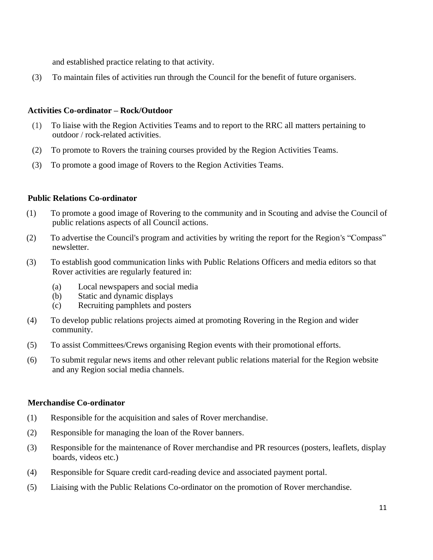and established practice relating to that activity.

(3) To maintain files of activities run through the Council for the benefit of future organisers.

#### **Activities Co-ordinator – Rock/Outdoor**

- (1) To liaise with the Region Activities Teams and to report to the RRC all matters pertaining to outdoor / rock-related activities.
- (2) To promote to Rovers the training courses provided by the Region Activities Teams.
- (3) To promote a good image of Rovers to the Region Activities Teams.

#### **Public Relations Co-ordinator**

- (1) To promote a good image of Rovering to the community and in Scouting and advise the Council of public relations aspects of all Council actions.
- (2) To advertise the Council's program and activities by writing the report for the Region's "Compass" newsletter.
- (3) To establish good communication links with Public Relations Officers and media editors so that Rover activities are regularly featured in:
	- (a) Local newspapers and social media
	- (b) Static and dynamic displays
	- (c) Recruiting pamphlets and posters
- (4) To develop public relations projects aimed at promoting Rovering in the Region and wider community.
- (5) To assist Committees/Crews organising Region events with their promotional efforts.
- (6) To submit regular news items and other relevant public relations material for the Region website and any Region social media channels.

#### **Merchandise Co-ordinator**

- (1) Responsible for the acquisition and sales of Rover merchandise.
- (2) Responsible for managing the loan of the Rover banners.
- (3) Responsible for the maintenance of Rover merchandise and PR resources (posters, leaflets, display boards, videos etc.)
- (4) Responsible for Square credit card-reading device and associated payment portal.
- (5) Liaising with the Public Relations Co-ordinator on the promotion of Rover merchandise.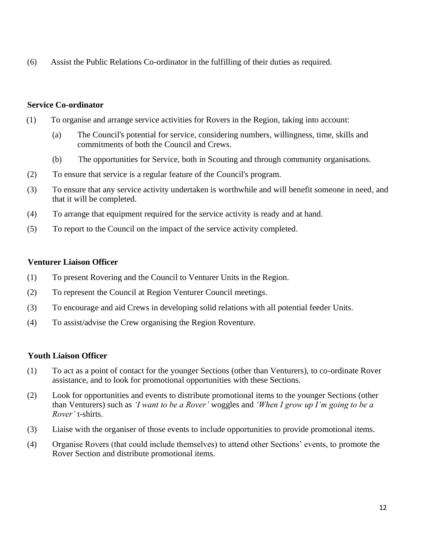(6) Assist the Public Relations Co-ordinator in the fulfilling of their duties as required.

## **Service Co-ordinator**

- (1) To organise and arrange service activities for Rovers in the Region, taking into account:
	- (a) The Council's potential for service, considering numbers, willingness, time, skills and commitments of both the Council and Crews.
	- (b) The opportunities for Service, both in Scouting and through community organisations.
- (2) To ensure that service is a regular feature of the Council's program.
- (3) To ensure that any service activity undertaken is worthwhile and will benefit someone in need, and that it will be completed.
- (4) To arrange that equipment required for the service activity is ready and at hand.
- (5) To report to the Council on the impact of the service activity completed.

## **Venturer Liaison Officer**

- (1) To present Rovering and the Council to Venturer Units in the Region.
- (2) To represent the Council at Region Venturer Council meetings.
- (3) To encourage and aid Crews in developing solid relations with all potential feeder Units.
- (4) To assist/advise the Crew organising the Region Roventure.

## **Youth Liaison Officer**

- (1) To act as a point of contact for the younger Sections (other than Venturers), to co-ordinate Rover assistance, and to look for promotional opportunities with these Sections.
- (2) Look for opportunities and events to distribute promotional items to the younger Sections (other than Venturers) such as *'I want to be a Rover'* woggles and *'When I grow up I'm going to be a Rover'* t-shirts.
- (3) Liaise with the organiser of those events to include opportunities to provide promotional items.
- (4) Organise Rovers (that could include themselves) to attend other Sections' events, to promote the Rover Section and distribute promotional items.